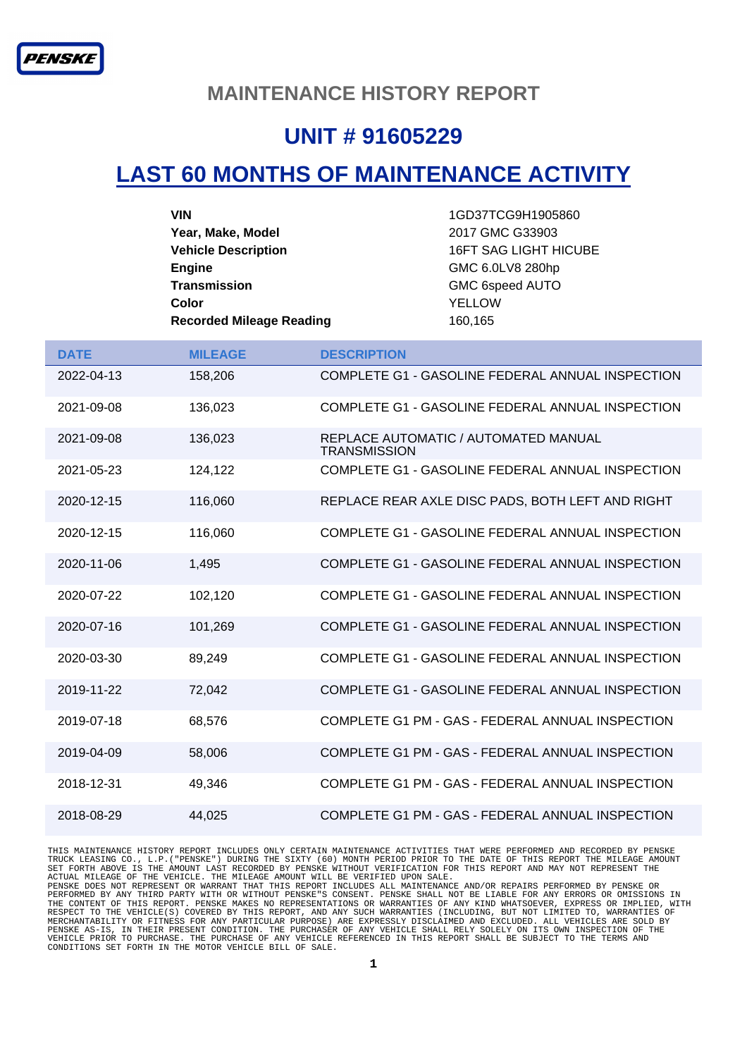#### **MAINTENANCE HISTORY REPORT**

### **UNIT # 91605229**

## **LAST 60 MONTHS OF MAINTENANCE ACTIVITY**

| VIN                             | 1GD37TCG9H1905860            |
|---------------------------------|------------------------------|
| Year, Make, Model               | 2017 GMC G33903              |
| <b>Vehicle Description</b>      | <b>16FT SAG LIGHT HICUBE</b> |
| <b>Engine</b>                   | GMC 6.0LV8 280hp             |
| <b>Transmission</b>             | GMC 6speed AUTO              |
| Color                           | <b>YELLOW</b>                |
| <b>Recorded Mileage Reading</b> | 160,165                      |

| <b>DATE</b> | <b>MILEAGE</b> | <b>DESCRIPTION</b>                                          |
|-------------|----------------|-------------------------------------------------------------|
| 2022-04-13  | 158,206        | COMPLETE G1 - GASOLINE FEDERAL ANNUAL INSPECTION            |
| 2021-09-08  | 136,023        | COMPLETE G1 - GASOLINE FEDERAL ANNUAL INSPECTION            |
| 2021-09-08  | 136,023        | REPLACE AUTOMATIC / AUTOMATED MANUAL<br><b>TRANSMISSION</b> |
| 2021-05-23  | 124.122        | COMPLETE G1 - GASOLINE FEDERAL ANNUAL INSPECTION            |
| 2020-12-15  | 116,060        | REPLACE REAR AXLE DISC PADS, BOTH LEFT AND RIGHT            |
| 2020-12-15  | 116,060        | COMPLETE G1 - GASOLINE FEDERAL ANNUAL INSPECTION            |
| 2020-11-06  | 1,495          | COMPLETE G1 - GASOLINE FEDERAL ANNUAL INSPECTION            |
| 2020-07-22  | 102,120        | COMPLETE G1 - GASOLINE FEDERAL ANNUAL INSPECTION            |
| 2020-07-16  | 101,269        | COMPLETE G1 - GASOLINE FEDERAL ANNUAL INSPECTION            |
| 2020-03-30  | 89,249         | COMPLETE G1 - GASOLINE FEDERAL ANNUAL INSPECTION            |
| 2019-11-22  | 72,042         | COMPLETE G1 - GASOLINE FEDERAL ANNUAL INSPECTION            |
| 2019-07-18  | 68,576         | COMPLETE G1 PM - GAS - FEDERAL ANNUAL INSPECTION            |
| 2019-04-09  | 58,006         | COMPLETE G1 PM - GAS - FEDERAL ANNUAL INSPECTION            |
| 2018-12-31  | 49,346         | COMPLETE G1 PM - GAS - FEDERAL ANNUAL INSPECTION            |
| 2018-08-29  | 44.025         | COMPLETE G1 PM - GAS - FEDERAL ANNUAL INSPECTION            |

THIS MAINTENANCE HISTORY REPORT INCLUDES ONLY CERTAIN MAINTENANCE ACTIVITIES THAT WERE PERFORMED AND RECORDED BY PENSKE<br>TRUCK LEASING CO., L.P. ("PENSKE") DURING THE SIXTY (60) MONTH PERIOD PRIOR TO THE DATE OF THIS REPORT MERCHANTABILITY OR FITNESS FOR ANY PARTICULAR PURPOSE) ARE EXPRESSLY DISCLAIMED AND EXCLUDED. ALL VEHICLES ARE SOLD BY<br>PENSKE AS-IS, IN THEIR PRESENT CONDITION. THE PURCHASER OF ANY VEHICLE SHALL RELY SOLELY ON ITS OWN INS CONDITIONS SET FORTH IN THE MOTOR VEHICLE BILL OF SALE.